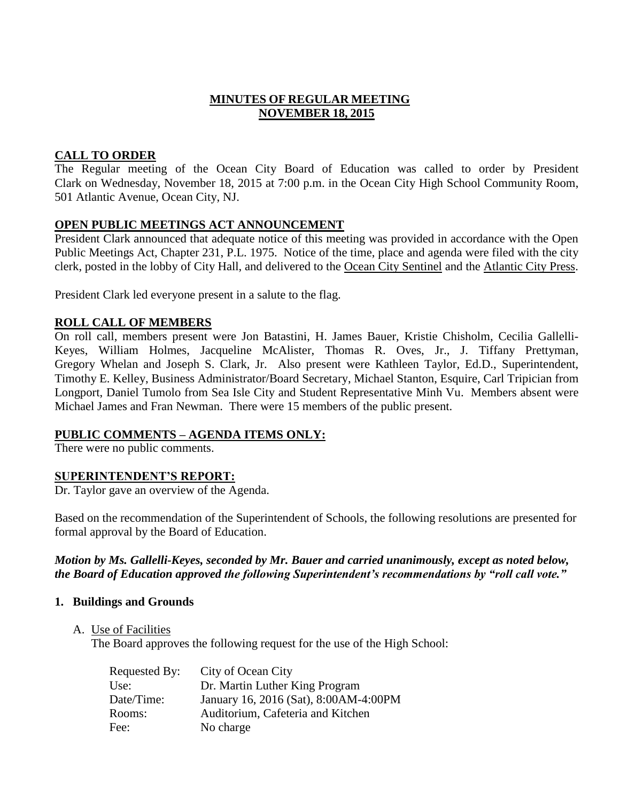## **MINUTES OF REGULAR MEETING NOVEMBER 18, 2015**

# **CALL TO ORDER**

The Regular meeting of the Ocean City Board of Education was called to order by President Clark on Wednesday, November 18, 2015 at 7:00 p.m. in the Ocean City High School Community Room, 501 Atlantic Avenue, Ocean City, NJ.

## **OPEN PUBLIC MEETINGS ACT ANNOUNCEMENT**

President Clark announced that adequate notice of this meeting was provided in accordance with the Open Public Meetings Act, Chapter 231, P.L. 1975. Notice of the time, place and agenda were filed with the city clerk, posted in the lobby of City Hall, and delivered to the Ocean City Sentinel and the Atlantic City Press.

President Clark led everyone present in a salute to the flag.

## **ROLL CALL OF MEMBERS**

On roll call, members present were Jon Batastini, H. James Bauer, Kristie Chisholm, Cecilia Gallelli-Keyes, William Holmes, Jacqueline McAlister, Thomas R. Oves, Jr., J. Tiffany Prettyman, Gregory Whelan and Joseph S. Clark, Jr. Also present were Kathleen Taylor, Ed.D., Superintendent, Timothy E. Kelley, Business Administrator/Board Secretary, Michael Stanton, Esquire, Carl Tripician from Longport, Daniel Tumolo from Sea Isle City and Student Representative Minh Vu. Members absent were Michael James and Fran Newman. There were 15 members of the public present.

# **PUBLIC COMMENTS – AGENDA ITEMS ONLY:**

There were no public comments.

### **SUPERINTENDENT'S REPORT:**

Dr. Taylor gave an overview of the Agenda.

Based on the recommendation of the Superintendent of Schools, the following resolutions are presented for formal approval by the Board of Education.

### *Motion by Ms. Gallelli-Keyes, seconded by Mr. Bauer and carried unanimously, except as noted below, the Board of Education approved the following Superintendent's recommendations by "roll call vote."*

### **1. Buildings and Grounds**

A. Use of Facilities

The Board approves the following request for the use of the High School:

| Requested By: | City of Ocean City                    |
|---------------|---------------------------------------|
| Use:          | Dr. Martin Luther King Program        |
| Date/Time:    | January 16, 2016 (Sat), 8:00AM-4:00PM |
| Rooms:        | Auditorium, Cafeteria and Kitchen     |
| Fee:          | No charge                             |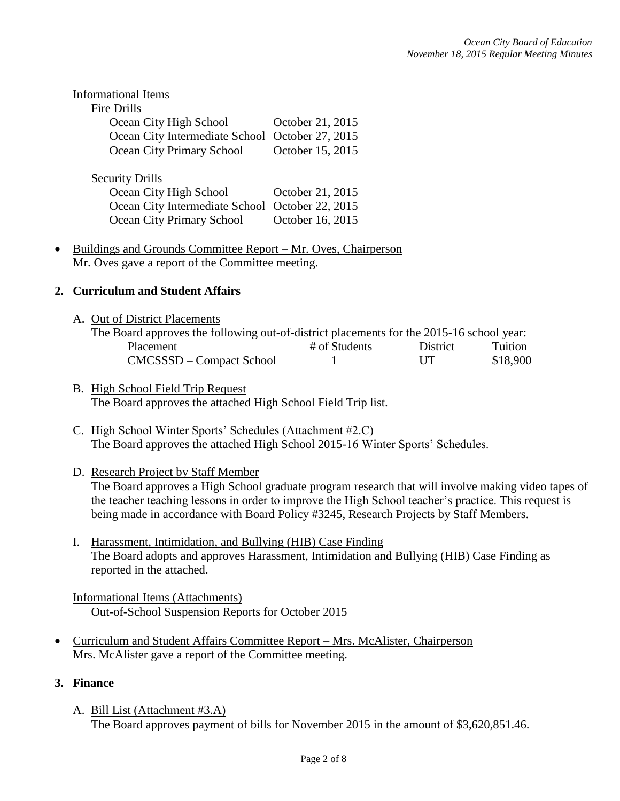| <b>Informational Items</b>                                                                                      |                                      |
|-----------------------------------------------------------------------------------------------------------------|--------------------------------------|
| Fire Drills                                                                                                     |                                      |
| Ocean City High School                                                                                          | October 21, 2015                     |
| Ocean City Intermediate School                                                                                  | October 27, 2015                     |
| Ocean City Primary School                                                                                       | October 15, 2015                     |
| <b>Security Drills</b><br>Ocean City High School<br>Ocean City Intermediate School<br>Ocean City Primary School | October 21, 2015<br>October 22, 2015 |
|                                                                                                                 | October 16, 2015                     |

• Buildings and Grounds Committee Report – Mr. Oves, Chairperson Mr. Oves gave a report of the Committee meeting.

# **2. Curriculum and Student Affairs**

A. Out of District Placements

| The Board approves the following out-of-district placements for the 2015-16 school year: |               |            |          |
|------------------------------------------------------------------------------------------|---------------|------------|----------|
| Placement                                                                                | # of Students | District   | Tuition  |
| CMCSSSD – Compact School                                                                 |               | <b>IIT</b> | \$18,900 |

### B. High School Field Trip Request The Board approves the attached High School Field Trip list.

- C. High School Winter Sports' Schedules (Attachment #2.C) The Board approves the attached High School 2015-16 Winter Sports' Schedules.
- D. Research Project by Staff Member

The Board approves a High School graduate program research that will involve making video tapes of the teacher teaching lessons in order to improve the High School teacher's practice. This request is being made in accordance with Board Policy #3245, Research Projects by Staff Members.

I. Harassment, Intimidation, and Bullying (HIB) Case Finding The Board adopts and approves Harassment, Intimidation and Bullying (HIB) Case Finding as reported in the attached.

### Informational Items (Attachments) Out-of-School Suspension Reports for October 2015

 Curriculum and Student Affairs Committee Report – Mrs. McAlister, Chairperson Mrs. McAlister gave a report of the Committee meeting.

### **3. Finance**

A. Bill List (Attachment #3.A) The Board approves payment of bills for November 2015 in the amount of \$3,620,851.46.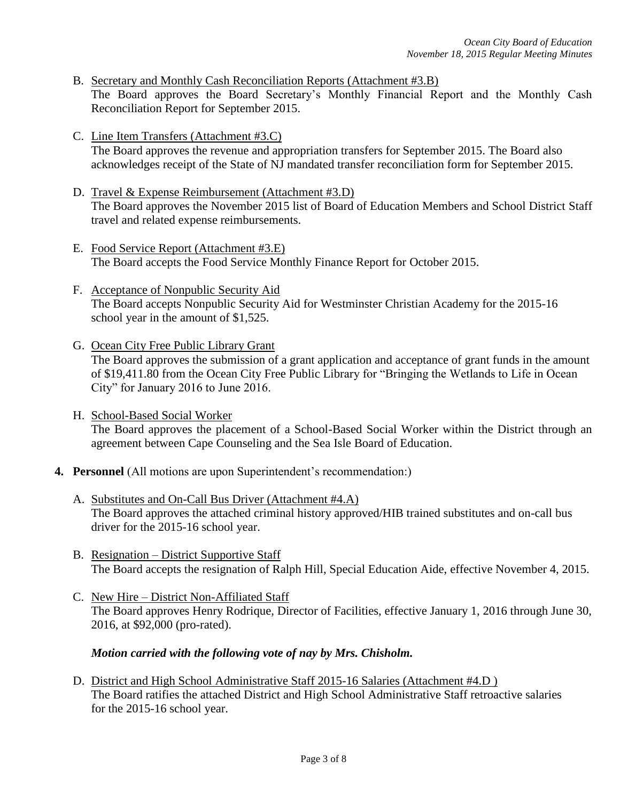- B. Secretary and Monthly Cash Reconciliation Reports (Attachment #3.B) The Board approves the Board Secretary's Monthly Financial Report and the Monthly Cash Reconciliation Report for September 2015.
- C. Line Item Transfers (Attachment #3.C) The Board approves the revenue and appropriation transfers for September 2015. The Board also acknowledges receipt of the State of NJ mandated transfer reconciliation form for September 2015.
- D. Travel & Expense Reimbursement (Attachment #3.D) The Board approves the November 2015 list of Board of Education Members and School District Staff travel and related expense reimbursements.
- E. Food Service Report (Attachment #3.E) The Board accepts the Food Service Monthly Finance Report for October 2015.
- F. Acceptance of Nonpublic Security Aid The Board accepts Nonpublic Security Aid for Westminster Christian Academy for the 2015-16 school year in the amount of \$1,525.
- G. Ocean City Free Public Library Grant The Board approves the submission of a grant application and acceptance of grant funds in the amount of \$19,411.80 from the Ocean City Free Public Library for "Bringing the Wetlands to Life in Ocean City" for January 2016 to June 2016.
- H. School-Based Social Worker The Board approves the placement of a School-Based Social Worker within the District through an agreement between Cape Counseling and the Sea Isle Board of Education.
- **4. Personnel** (All motions are upon Superintendent's recommendation:)
	- A. Substitutes and On-Call Bus Driver (Attachment #4.A) The Board approves the attached criminal history approved/HIB trained substitutes and on-call bus driver for the 2015-16 school year.
	- B. Resignation District Supportive Staff The Board accepts the resignation of Ralph Hill, Special Education Aide, effective November 4, 2015.
	- C. New Hire District Non-Affiliated Staff The Board approves Henry Rodrique, Director of Facilities, effective January 1, 2016 through June 30, 2016, at \$92,000 (pro-rated).

# *Motion carried with the following vote of nay by Mrs. Chisholm.*

D. District and High School Administrative Staff 2015-16 Salaries (Attachment #4.D ) The Board ratifies the attached District and High School Administrative Staff retroactive salaries for the 2015-16 school year.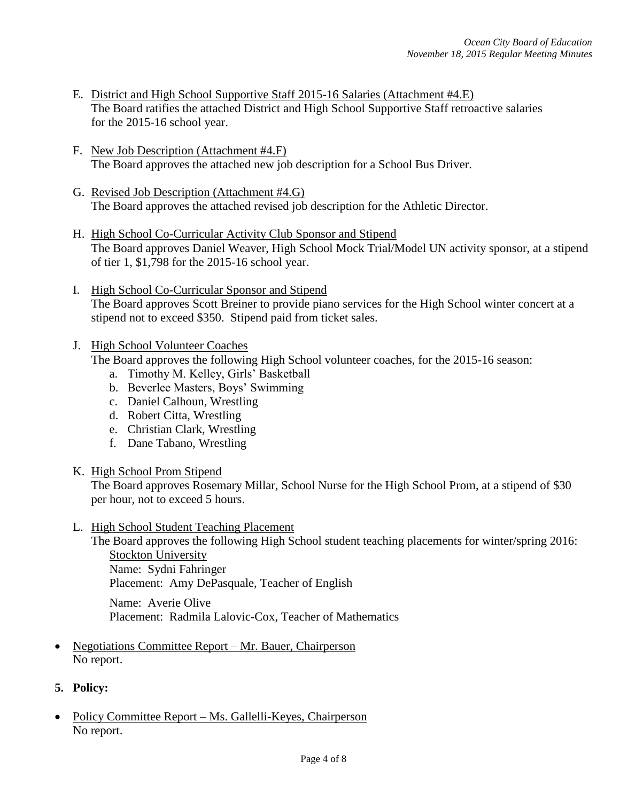- E. District and High School Supportive Staff 2015-16 Salaries (Attachment #4.E) The Board ratifies the attached District and High School Supportive Staff retroactive salaries for the 2015-16 school year.
- F. New Job Description (Attachment #4.F) The Board approves the attached new job description for a School Bus Driver.
- G. Revised Job Description (Attachment #4.G) The Board approves the attached revised job description for the Athletic Director.
- H. High School Co-Curricular Activity Club Sponsor and Stipend The Board approves Daniel Weaver, High School Mock Trial/Model UN activity sponsor, at a stipend of tier 1, \$1,798 for the 2015-16 school year.
- I. High School Co-Curricular Sponsor and Stipend The Board approves Scott Breiner to provide piano services for the High School winter concert at a stipend not to exceed \$350. Stipend paid from ticket sales.
- J. High School Volunteer Coaches The Board approves the following High School volunteer coaches, for the 2015-16 season:
	- a. Timothy M. Kelley, Girls' Basketball
	- b. Beverlee Masters, Boys' Swimming
	- c. Daniel Calhoun, Wrestling
	- d. Robert Citta, Wrestling
	- e. Christian Clark, Wrestling
	- f. Dane Tabano, Wrestling
- K. High School Prom Stipend

The Board approves Rosemary Millar, School Nurse for the High School Prom, at a stipend of \$30 per hour, not to exceed 5 hours.

L. High School Student Teaching Placement

The Board approves the following High School student teaching placements for winter/spring 2016: Stockton University Name: Sydni Fahringer

Placement: Amy DePasquale, Teacher of English

Name: Averie Olive Placement: Radmila Lalovic-Cox, Teacher of Mathematics

- Negotiations Committee Report Mr. Bauer, Chairperson No report.
- **5. Policy:**
- Policy Committee Report Ms. Gallelli-Keyes, Chairperson No report.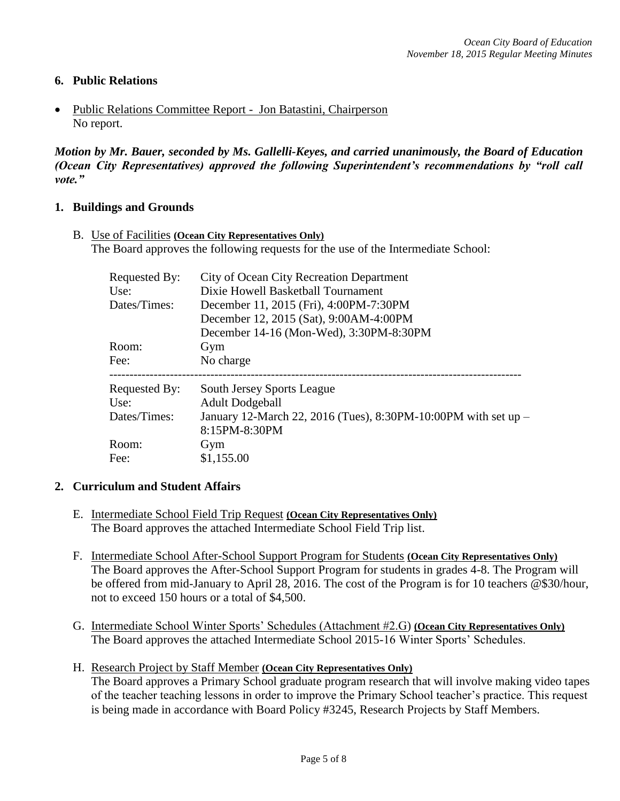## **6. Public Relations**

 Public Relations Committee Report - Jon Batastini, Chairperson No report.

*Motion by Mr. Bauer, seconded by Ms. Gallelli-Keyes, and carried unanimously, the Board of Education (Ocean City Representatives) approved the following Superintendent's recommendations by "roll call vote."* 

#### **1. Buildings and Grounds**

B. Use of Facilities **(Ocean City Representatives Only)** The Board approves the following requests for the use of the Intermediate School:

| Requested By: | City of Ocean City Recreation Department                                        |
|---------------|---------------------------------------------------------------------------------|
| Use:          | Dixie Howell Basketball Tournament                                              |
| Dates/Times:  | December 11, 2015 (Fri), 4:00PM-7:30PM                                          |
|               | December 12, 2015 (Sat), 9:00AM-4:00PM                                          |
|               | December 14-16 (Mon-Wed), 3:30PM-8:30PM                                         |
| Room:         | Gym                                                                             |
| Fee:          | No charge                                                                       |
| Requested By: | South Jersey Sports League                                                      |
| Use:          | <b>Adult Dodgeball</b>                                                          |
| Dates/Times:  | January 12-March 22, 2016 (Tues), 8:30PM-10:00PM with set up -<br>8:15PM-8:30PM |
| Room:         | Gym                                                                             |
| Fee:          | \$1,155.00                                                                      |

### **2. Curriculum and Student Affairs**

- E. Intermediate School Field Trip Request **(Ocean City Representatives Only)** The Board approves the attached Intermediate School Field Trip list.
- F. Intermediate School After-School Support Program for Students **(Ocean City Representatives Only)** The Board approves the After-School Support Program for students in grades 4-8. The Program will be offered from mid-January to April 28, 2016. The cost of the Program is for 10 teachers @\$30/hour, not to exceed 150 hours or a total of \$4,500.
- G. Intermediate School Winter Sports' Schedules (Attachment #2.G) **(Ocean City Representatives Only)** The Board approves the attached Intermediate School 2015-16 Winter Sports' Schedules.
- H. Research Project by Staff Member **(Ocean City Representatives Only)** The Board approves a Primary School graduate program research that will involve making video tapes of the teacher teaching lessons in order to improve the Primary School teacher's practice. This request is being made in accordance with Board Policy #3245, Research Projects by Staff Members.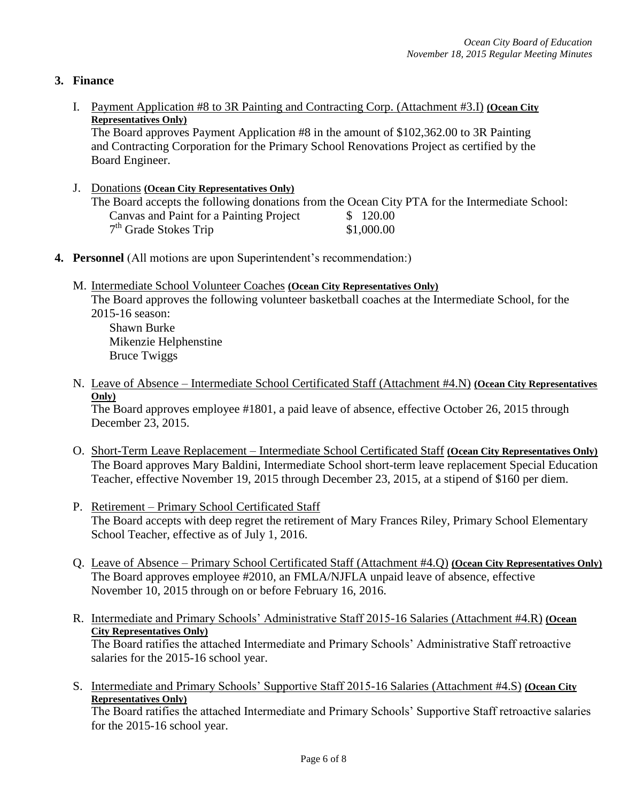# **3. Finance**

I. Payment Application #8 to 3R Painting and Contracting Corp. (Attachment #3.I) **(Ocean City Representatives Only)**

The Board approves Payment Application #8 in the amount of \$102,362.00 to 3R Painting and Contracting Corporation for the Primary School Renovations Project as certified by the Board Engineer.

- J. Donations **(Ocean City Representatives Only)** The Board accepts the following donations from the Ocean City PTA for the Intermediate School: Canvas and Paint for a Painting Project \$ 120.00 7<sup>th</sup> Grade Stokes Trip \$1,000.00
- **4. Personnel** (All motions are upon Superintendent's recommendation:)
	- M. Intermediate School Volunteer Coaches **(Ocean City Representatives Only)** The Board approves the following volunteer basketball coaches at the Intermediate School, for the 2015-16 season: Shawn Burke Mikenzie Helphenstine Bruce Twiggs
	- N. Leave of Absence Intermediate School Certificated Staff (Attachment #4.N) **(Ocean City Representatives Only)**

The Board approves employee #1801, a paid leave of absence, effective October 26, 2015 through December 23, 2015.

- O. Short-Term Leave Replacement Intermediate School Certificated Staff **(Ocean City Representatives Only)** The Board approves Mary Baldini, Intermediate School short-term leave replacement Special Education Teacher, effective November 19, 2015 through December 23, 2015, at a stipend of \$160 per diem.
- P. Retirement Primary School Certificated Staff The Board accepts with deep regret the retirement of Mary Frances Riley, Primary School Elementary School Teacher, effective as of July 1, 2016.
- Q. Leave of Absence Primary School Certificated Staff (Attachment #4.Q) **(Ocean City Representatives Only)** The Board approves employee #2010, an FMLA/NJFLA unpaid leave of absence, effective November 10, 2015 through on or before February 16, 2016.
- R. Intermediate and Primary Schools' Administrative Staff 2015-16 Salaries (Attachment #4.R) **(Ocean City Representatives Only)** The Board ratifies the attached Intermediate and Primary Schools' Administrative Staff retroactive salaries for the 2015-16 school year.
- S. Intermediate and Primary Schools' Supportive Staff 2015-16 Salaries (Attachment #4.S) **(Ocean City Representatives Only)**

The Board ratifies the attached Intermediate and Primary Schools' Supportive Staff retroactive salaries for the 2015-16 school year.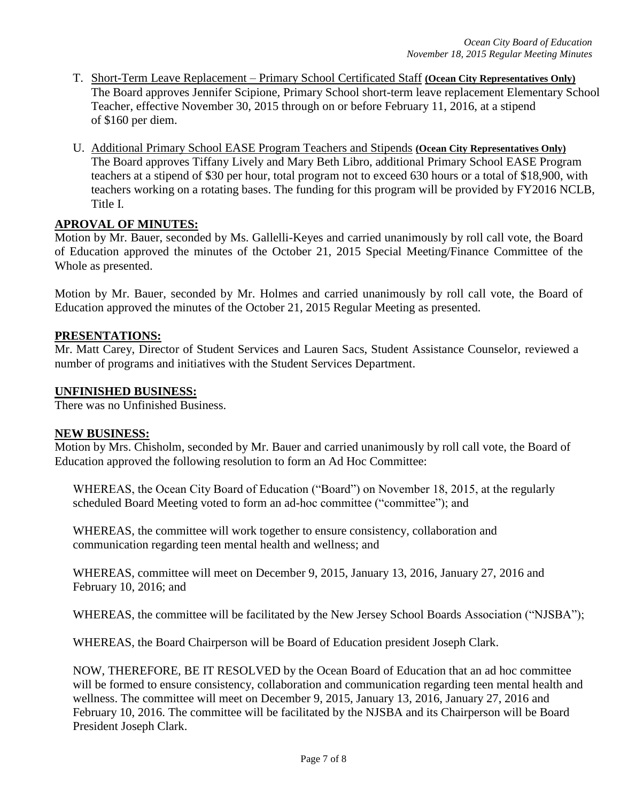- T. Short-Term Leave Replacement Primary School Certificated Staff **(Ocean City Representatives Only)** The Board approves Jennifer Scipione*,* Primary School short-term leave replacement Elementary School Teacher, effective November 30, 2015 through on or before February 11, 2016, at a stipend of \$160 per diem.
- U. Additional Primary School EASE Program Teachers and Stipends **(Ocean City Representatives Only)** The Board approves Tiffany Lively and Mary Beth Libro, additional Primary School EASE Program teachers at a stipend of \$30 per hour, total program not to exceed 630 hours or a total of \$18,900, with teachers working on a rotating bases. The funding for this program will be provided by FY2016 NCLB, Title I.

## **APROVAL OF MINUTES:**

Motion by Mr. Bauer, seconded by Ms. Gallelli-Keyes and carried unanimously by roll call vote, the Board of Education approved the minutes of the October 21, 2015 Special Meeting/Finance Committee of the Whole as presented.

Motion by Mr. Bauer, seconded by Mr. Holmes and carried unanimously by roll call vote, the Board of Education approved the minutes of the October 21, 2015 Regular Meeting as presented.

## **PRESENTATIONS:**

Mr. Matt Carey, Director of Student Services and Lauren Sacs, Student Assistance Counselor, reviewed a number of programs and initiatives with the Student Services Department.

### **UNFINISHED BUSINESS:**

There was no Unfinished Business.

### **NEW BUSINESS:**

Motion by Mrs. Chisholm, seconded by Mr. Bauer and carried unanimously by roll call vote, the Board of Education approved the following resolution to form an Ad Hoc Committee:

WHEREAS, the Ocean City Board of Education ("Board") on November 18, 2015, at the regularly scheduled Board Meeting voted to form an ad-hoc committee ("committee"); and

WHEREAS, the committee will work together to ensure consistency, collaboration and communication regarding teen mental health and wellness; and

WHEREAS, committee will meet on December 9, 2015, January 13, 2016, January 27, 2016 and February 10, 2016; and

WHEREAS, the committee will be facilitated by the New Jersey School Boards Association ("NJSBA");

WHEREAS, the Board Chairperson will be Board of Education president Joseph Clark.

NOW, THEREFORE, BE IT RESOLVED by the Ocean Board of Education that an ad hoc committee will be formed to ensure consistency, collaboration and communication regarding teen mental health and wellness. The committee will meet on December 9, 2015, January 13, 2016, January 27, 2016 and February 10, 2016. The committee will be facilitated by the NJSBA and its Chairperson will be Board President Joseph Clark.